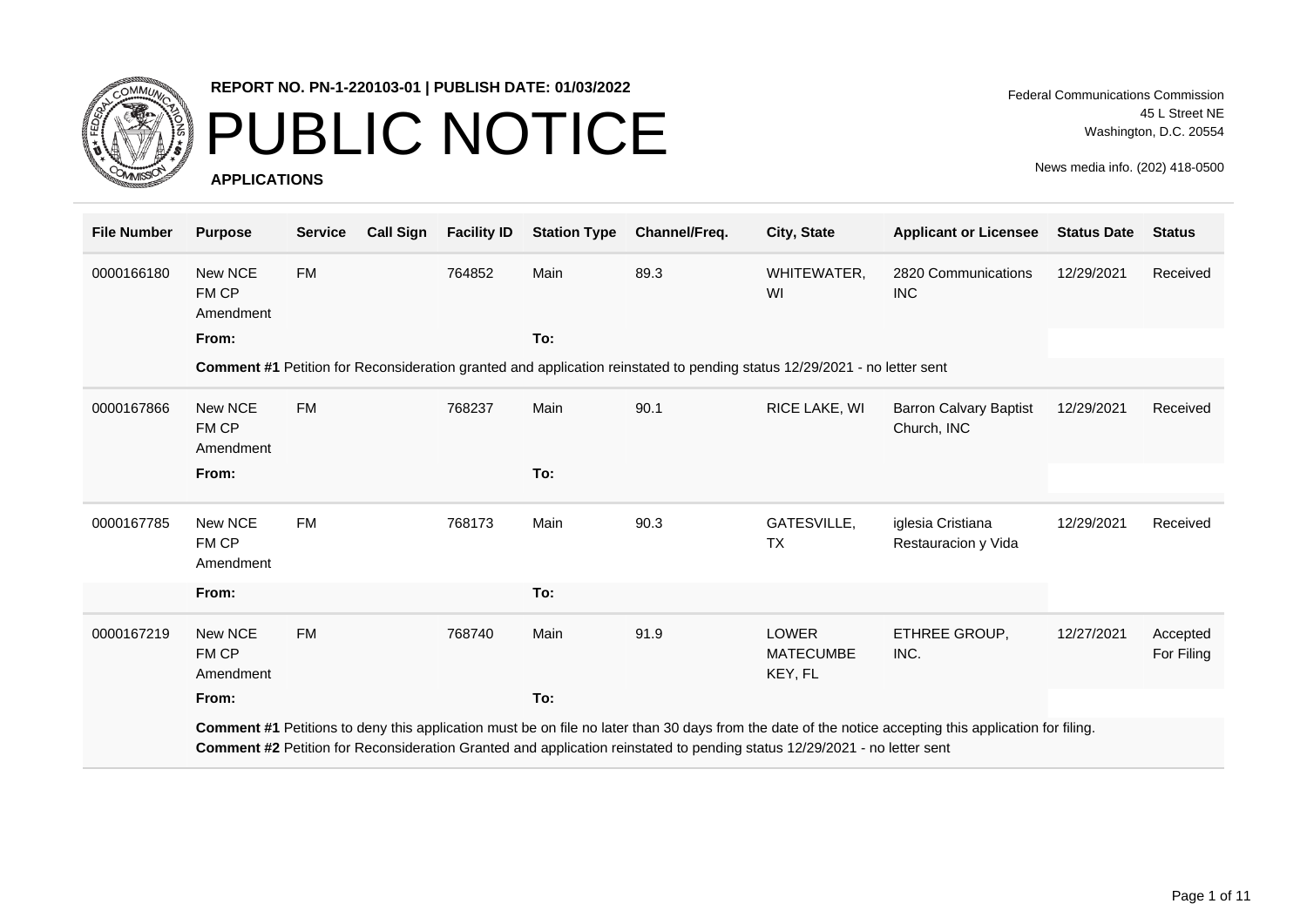

### PUBLIC NOTICE

**APPLICATIONS**

Federal Communications Commission 45 L Street NE Washington, D.C. 20554

| <b>File Number</b> | <b>Purpose</b>                | <b>Service</b> | <b>Call Sign</b> | <b>Facility ID</b> | <b>Station Type</b> | Channel/Freq.                                                                                                            | City, State                                 | <b>Applicant or Licensee</b>                                                                                                                           | <b>Status Date</b> | <b>Status</b>          |
|--------------------|-------------------------------|----------------|------------------|--------------------|---------------------|--------------------------------------------------------------------------------------------------------------------------|---------------------------------------------|--------------------------------------------------------------------------------------------------------------------------------------------------------|--------------------|------------------------|
| 0000166180         | New NCE<br>FM CP<br>Amendment | <b>FM</b>      |                  | 764852             | Main                | 89.3                                                                                                                     | WHITEWATER,<br>WI                           | 2820 Communications<br><b>INC</b>                                                                                                                      | 12/29/2021         | Received               |
|                    | From:                         |                |                  |                    | To:                 |                                                                                                                          |                                             |                                                                                                                                                        |                    |                        |
|                    |                               |                |                  |                    |                     | Comment #1 Petition for Reconsideration granted and application reinstated to pending status 12/29/2021 - no letter sent |                                             |                                                                                                                                                        |                    |                        |
| 0000167866         | New NCE<br>FM CP<br>Amendment | <b>FM</b>      |                  | 768237             | Main                | 90.1                                                                                                                     | RICE LAKE, WI                               | <b>Barron Calvary Baptist</b><br>Church, INC                                                                                                           | 12/29/2021         | Received               |
|                    | From:                         |                |                  |                    | To:                 |                                                                                                                          |                                             |                                                                                                                                                        |                    |                        |
| 0000167785         | New NCE<br>FM CP<br>Amendment | <b>FM</b>      |                  | 768173             | Main                | 90.3                                                                                                                     | GATESVILLE,<br><b>TX</b>                    | iglesia Cristiana<br>Restauracion y Vida                                                                                                               | 12/29/2021         | Received               |
|                    | From:                         |                |                  |                    | To:                 |                                                                                                                          |                                             |                                                                                                                                                        |                    |                        |
| 0000167219         | New NCE<br>FM CP<br>Amendment | <b>FM</b>      |                  | 768740             | Main                | 91.9                                                                                                                     | <b>LOWER</b><br><b>MATECUMBE</b><br>KEY, FL | ETHREE GROUP,<br>INC.                                                                                                                                  | 12/27/2021         | Accepted<br>For Filing |
|                    | From:                         |                |                  |                    | To:                 |                                                                                                                          |                                             |                                                                                                                                                        |                    |                        |
|                    |                               |                |                  |                    |                     | Comment #2 Petition for Reconsideration Granted and application reinstated to pending status 12/29/2021 - no letter sent |                                             | Comment #1 Petitions to deny this application must be on file no later than 30 days from the date of the notice accepting this application for filing. |                    |                        |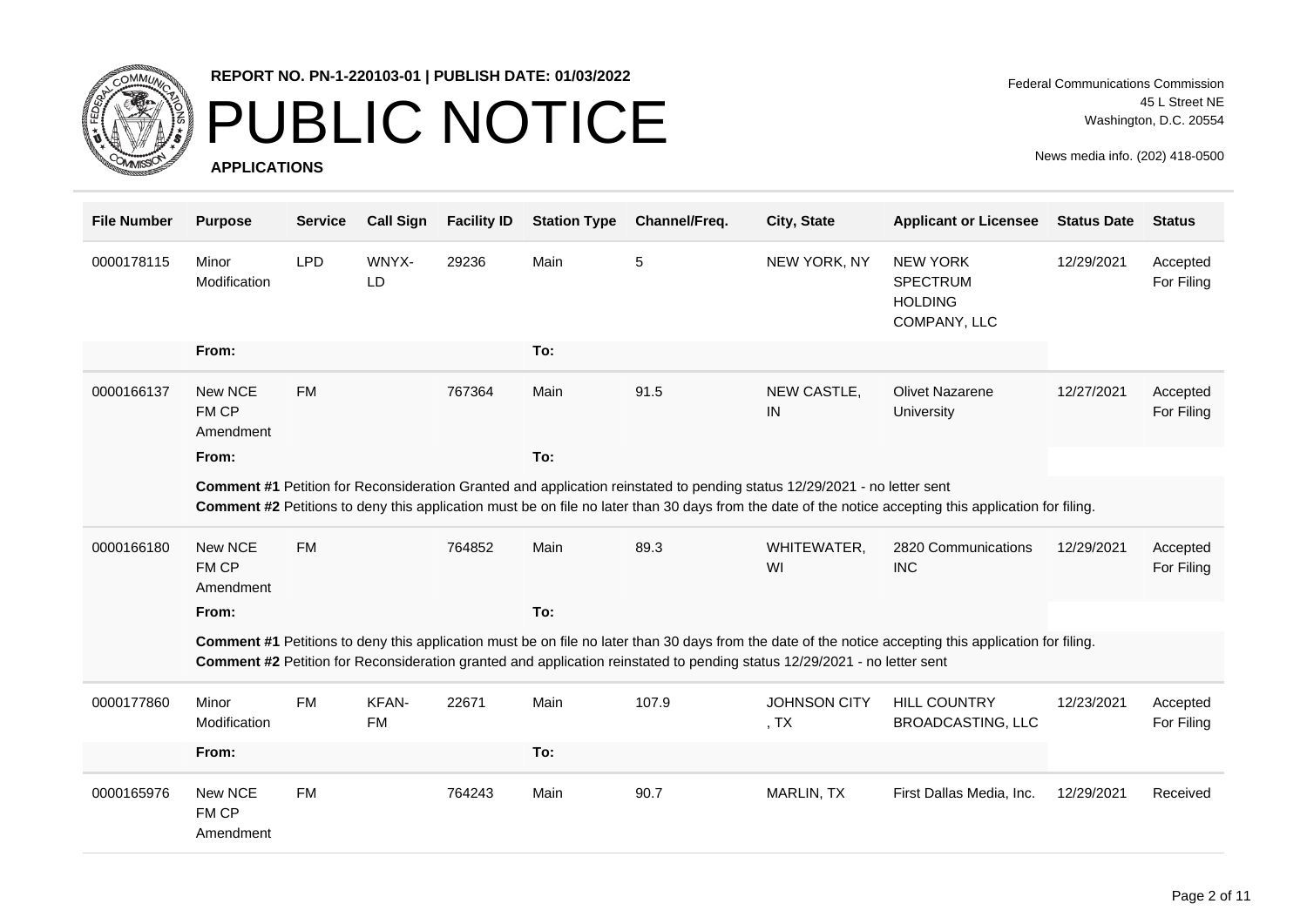

## PUBLIC NOTICE

**APPLICATIONS**

| <b>File Number</b> | <b>Purpose</b>                | <b>Service</b> | <b>Call Sign</b>   | <b>Facility ID</b> | <b>Station Type</b> | Channel/Freq.                                                                                                            | City, State                           | <b>Applicant or Licensee</b>                                                                                                                           | <b>Status Date</b> | <b>Status</b>          |
|--------------------|-------------------------------|----------------|--------------------|--------------------|---------------------|--------------------------------------------------------------------------------------------------------------------------|---------------------------------------|--------------------------------------------------------------------------------------------------------------------------------------------------------|--------------------|------------------------|
| 0000178115         | Minor<br>Modification         | <b>LPD</b>     | WNYX-<br>LD        | 29236              | Main                | 5                                                                                                                        | NEW YORK, NY                          | <b>NEW YORK</b><br><b>SPECTRUM</b><br><b>HOLDING</b><br>COMPANY, LLC                                                                                   | 12/29/2021         | Accepted<br>For Filing |
|                    | From:                         |                |                    |                    | To:                 |                                                                                                                          |                                       |                                                                                                                                                        |                    |                        |
| 0000166137         | New NCE<br>FM CP<br>Amendment | <b>FM</b>      |                    | 767364             | Main                | 91.5                                                                                                                     | NEW CASTLE,<br>IN                     | <b>Olivet Nazarene</b><br>University                                                                                                                   | 12/27/2021         | Accepted<br>For Filing |
|                    | From:                         |                |                    |                    | To:                 |                                                                                                                          |                                       |                                                                                                                                                        |                    |                        |
|                    |                               |                |                    |                    |                     | Comment #1 Petition for Reconsideration Granted and application reinstated to pending status 12/29/2021 - no letter sent |                                       | Comment #2 Petitions to deny this application must be on file no later than 30 days from the date of the notice accepting this application for filing. |                    |                        |
| 0000166180         | New NCE<br>FM CP<br>Amendment | <b>FM</b>      |                    | 764852             | Main                | 89.3                                                                                                                     | WHITEWATER,<br>WI                     | 2820 Communications<br><b>INC</b>                                                                                                                      | 12/29/2021         | Accepted<br>For Filing |
|                    | From:                         |                |                    |                    | To:                 |                                                                                                                          |                                       |                                                                                                                                                        |                    |                        |
|                    |                               |                |                    |                    |                     | Comment #2 Petition for Reconsideration granted and application reinstated to pending status 12/29/2021 - no letter sent |                                       | Comment #1 Petitions to deny this application must be on file no later than 30 days from the date of the notice accepting this application for filing. |                    |                        |
| 0000177860         | Minor<br>Modification         | <b>FM</b>      | KFAN-<br><b>FM</b> | 22671              | Main                | 107.9                                                                                                                    | <b>JOHNSON CITY</b><br>, <sub>T</sub> | <b>HILL COUNTRY</b><br><b>BROADCASTING, LLC</b>                                                                                                        | 12/23/2021         | Accepted<br>For Filing |
|                    | From:                         |                |                    |                    | To:                 |                                                                                                                          |                                       |                                                                                                                                                        |                    |                        |
| 0000165976         | New NCE<br>FM CP<br>Amendment | <b>FM</b>      |                    | 764243             | Main                | 90.7                                                                                                                     | MARLIN, TX                            | First Dallas Media, Inc.                                                                                                                               | 12/29/2021         | Received               |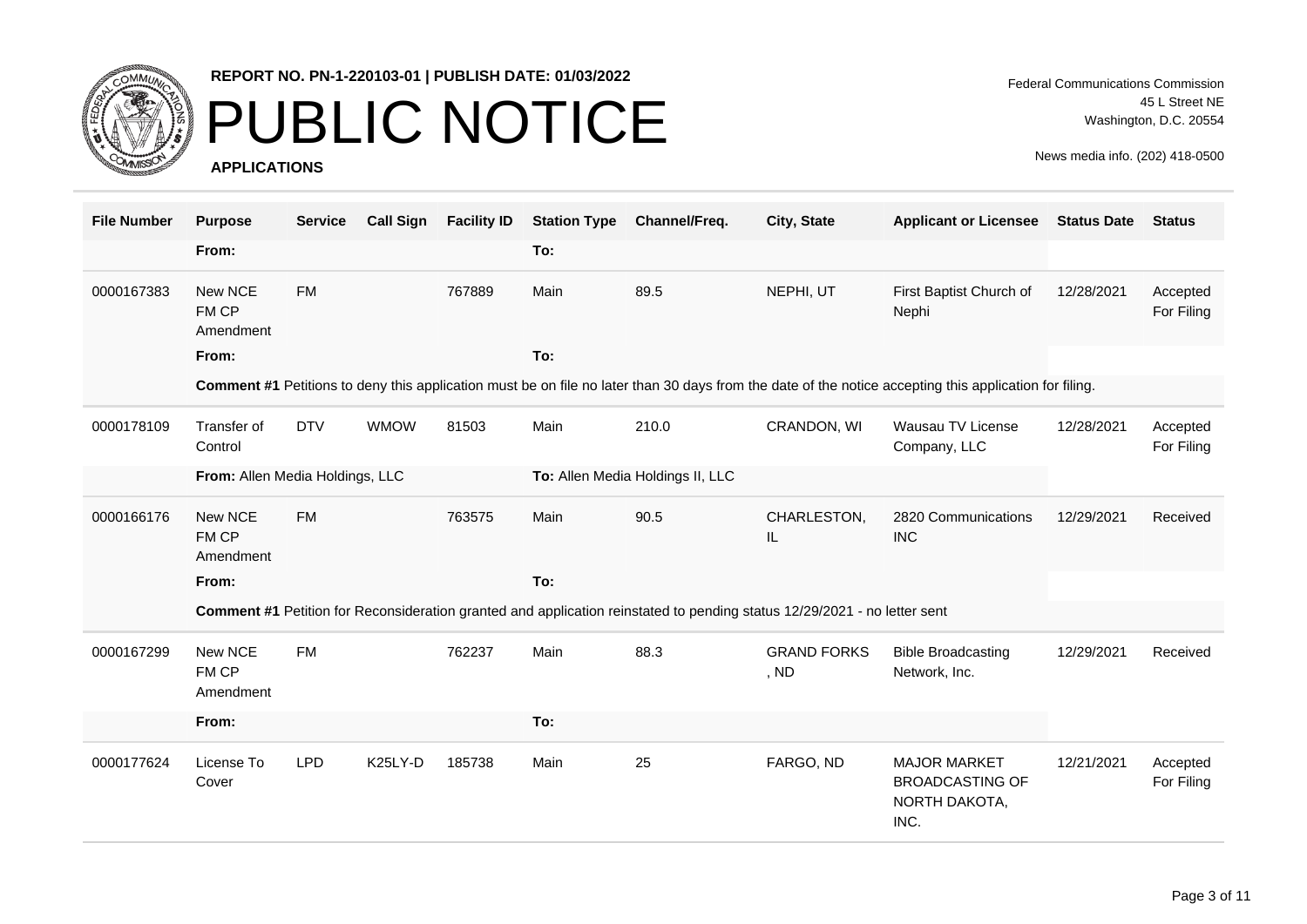

### PUBLIC NOTICE

**APPLICATIONS**

| <b>File Number</b> | <b>Purpose</b>                  | <b>Service</b> | <b>Call Sign</b>     | <b>Facility ID</b> | <b>Station Type</b> | Channel/Freq.                                                                                                            | City, State                | <b>Applicant or Licensee</b>                                                                                                                           | <b>Status Date</b> | <b>Status</b>          |
|--------------------|---------------------------------|----------------|----------------------|--------------------|---------------------|--------------------------------------------------------------------------------------------------------------------------|----------------------------|--------------------------------------------------------------------------------------------------------------------------------------------------------|--------------------|------------------------|
|                    | From:                           |                |                      |                    | To:                 |                                                                                                                          |                            |                                                                                                                                                        |                    |                        |
| 0000167383         | New NCE<br>FM CP<br>Amendment   | <b>FM</b>      |                      | 767889             | Main                | 89.5                                                                                                                     | NEPHI, UT                  | First Baptist Church of<br>Nephi                                                                                                                       | 12/28/2021         | Accepted<br>For Filing |
|                    | From:                           |                |                      |                    | To:                 |                                                                                                                          |                            |                                                                                                                                                        |                    |                        |
|                    |                                 |                |                      |                    |                     |                                                                                                                          |                            | Comment #1 Petitions to deny this application must be on file no later than 30 days from the date of the notice accepting this application for filing. |                    |                        |
| 0000178109         | Transfer of<br>Control          | <b>DTV</b>     | <b>WMOW</b>          | 81503              | Main                | 210.0                                                                                                                    | CRANDON, WI                | Wausau TV License<br>Company, LLC                                                                                                                      | 12/28/2021         | Accepted<br>For Filing |
|                    | From: Allen Media Holdings, LLC |                |                      |                    |                     | To: Allen Media Holdings II, LLC                                                                                         |                            |                                                                                                                                                        |                    |                        |
| 0000166176         | New NCE<br>FM CP<br>Amendment   | <b>FM</b>      |                      | 763575             | Main                | 90.5                                                                                                                     | CHARLESTON,<br>IL.         | 2820 Communications<br><b>INC</b>                                                                                                                      | 12/29/2021         | Received               |
|                    | From:                           |                |                      |                    | To:                 |                                                                                                                          |                            |                                                                                                                                                        |                    |                        |
|                    |                                 |                |                      |                    |                     | Comment #1 Petition for Reconsideration granted and application reinstated to pending status 12/29/2021 - no letter sent |                            |                                                                                                                                                        |                    |                        |
| 0000167299         | New NCE<br>FM CP<br>Amendment   | <b>FM</b>      |                      | 762237             | Main                | 88.3                                                                                                                     | <b>GRAND FORKS</b><br>, ND | <b>Bible Broadcasting</b><br>Network, Inc.                                                                                                             | 12/29/2021         | Received               |
|                    | From:                           |                |                      |                    | To:                 |                                                                                                                          |                            |                                                                                                                                                        |                    |                        |
| 0000177624         | License To<br>Cover             | <b>LPD</b>     | K <sub>25</sub> LY-D | 185738             | Main                | 25                                                                                                                       | FARGO, ND                  | <b>MAJOR MARKET</b><br><b>BROADCASTING OF</b><br>NORTH DAKOTA,<br>INC.                                                                                 | 12/21/2021         | Accepted<br>For Filing |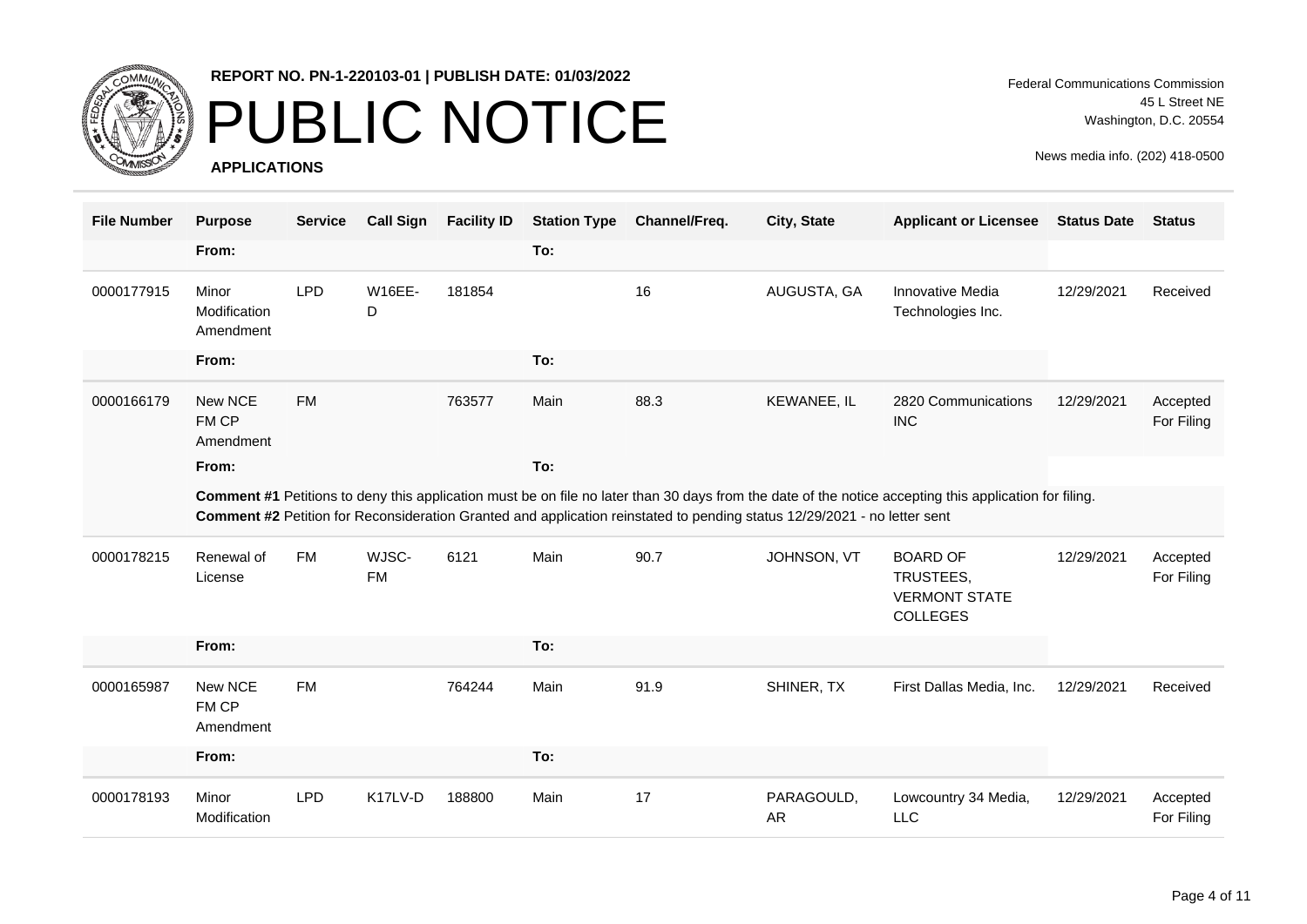

### PUBLIC NOTICE

**APPLICATIONS**

| <b>File Number</b> | <b>Purpose</b>                     | <b>Service</b> | <b>Call Sign</b>   | <b>Facility ID</b> | <b>Station Type</b> | Channel/Freq.                                                                                                            | City, State             | <b>Applicant or Licensee</b>                                                                                                                           | <b>Status Date</b> | <b>Status</b>          |
|--------------------|------------------------------------|----------------|--------------------|--------------------|---------------------|--------------------------------------------------------------------------------------------------------------------------|-------------------------|--------------------------------------------------------------------------------------------------------------------------------------------------------|--------------------|------------------------|
|                    | From:                              |                |                    |                    | To:                 |                                                                                                                          |                         |                                                                                                                                                        |                    |                        |
| 0000177915         | Minor<br>Modification<br>Amendment | <b>LPD</b>     | <b>W16EE-</b><br>D | 181854             |                     | 16                                                                                                                       | AUGUSTA, GA             | <b>Innovative Media</b><br>Technologies Inc.                                                                                                           | 12/29/2021         | Received               |
|                    | From:                              |                |                    |                    | To:                 |                                                                                                                          |                         |                                                                                                                                                        |                    |                        |
| 0000166179         | New NCE<br>FM CP<br>Amendment      | <b>FM</b>      |                    | 763577             | Main                | 88.3                                                                                                                     | KEWANEE, IL             | 2820 Communications<br><b>INC</b>                                                                                                                      | 12/29/2021         | Accepted<br>For Filing |
|                    | From:                              |                |                    |                    | To:                 |                                                                                                                          |                         |                                                                                                                                                        |                    |                        |
|                    |                                    |                |                    |                    |                     | Comment #2 Petition for Reconsideration Granted and application reinstated to pending status 12/29/2021 - no letter sent |                         | Comment #1 Petitions to deny this application must be on file no later than 30 days from the date of the notice accepting this application for filing. |                    |                        |
| 0000178215         | Renewal of<br>License              | <b>FM</b>      | WJSC-<br><b>FM</b> | 6121               | Main                | 90.7                                                                                                                     | JOHNSON, VT             | <b>BOARD OF</b><br>TRUSTEES,<br><b>VERMONT STATE</b><br><b>COLLEGES</b>                                                                                | 12/29/2021         | Accepted<br>For Filing |
|                    | From:                              |                |                    |                    | To:                 |                                                                                                                          |                         |                                                                                                                                                        |                    |                        |
| 0000165987         | New NCE<br>FM CP<br>Amendment      | <b>FM</b>      |                    | 764244             | Main                | 91.9                                                                                                                     | SHINER, TX              | First Dallas Media, Inc.                                                                                                                               | 12/29/2021         | Received               |
|                    | From:                              |                |                    |                    | To:                 |                                                                                                                          |                         |                                                                                                                                                        |                    |                        |
| 0000178193         | Minor<br>Modification              | <b>LPD</b>     | K17LV-D            | 188800             | Main                | 17                                                                                                                       | PARAGOULD,<br><b>AR</b> | Lowcountry 34 Media,<br><b>LLC</b>                                                                                                                     | 12/29/2021         | Accepted<br>For Filing |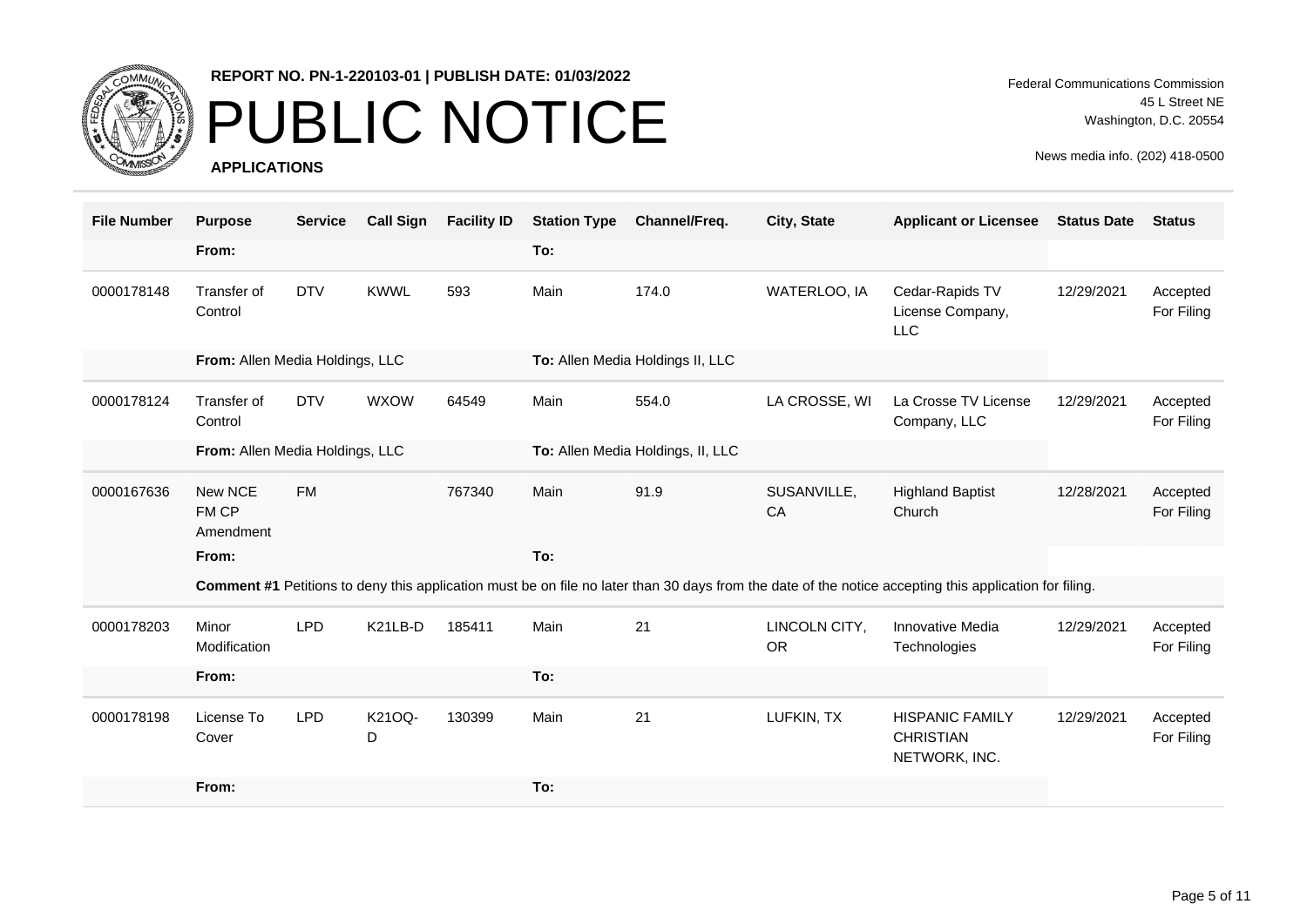

## PUBLIC NOTICE

**APPLICATIONS**

Federal Communications Commission 45 L Street NE Washington, D.C. 20554

| <b>File Number</b> | <b>Purpose</b>                  | <b>Service</b> | <b>Call Sign</b> | <b>Facility ID</b> | <b>Station Type</b> | Channel/Freq.                     | City, State                | <b>Applicant or Licensee</b>                                                                                                                           | <b>Status Date</b> | <b>Status</b>          |
|--------------------|---------------------------------|----------------|------------------|--------------------|---------------------|-----------------------------------|----------------------------|--------------------------------------------------------------------------------------------------------------------------------------------------------|--------------------|------------------------|
|                    | From:                           |                |                  |                    | To:                 |                                   |                            |                                                                                                                                                        |                    |                        |
| 0000178148         | Transfer of<br>Control          | <b>DTV</b>     | <b>KWWL</b>      | 593                | Main                | 174.0                             | WATERLOO, IA               | Cedar-Rapids TV<br>License Company,<br><b>LLC</b>                                                                                                      | 12/29/2021         | Accepted<br>For Filing |
|                    | From: Allen Media Holdings, LLC |                |                  |                    |                     | To: Allen Media Holdings II, LLC  |                            |                                                                                                                                                        |                    |                        |
| 0000178124         | Transfer of<br>Control          | <b>DTV</b>     | <b>WXOW</b>      | 64549              | Main                | 554.0                             | LA CROSSE, WI              | La Crosse TV License<br>Company, LLC                                                                                                                   | 12/29/2021         | Accepted<br>For Filing |
|                    | From: Allen Media Holdings, LLC |                |                  |                    |                     | To: Allen Media Holdings, II, LLC |                            |                                                                                                                                                        |                    |                        |
| 0000167636         | New NCE<br>FM CP<br>Amendment   | <b>FM</b>      |                  | 767340             | Main                | 91.9                              | SUSANVILLE,<br>CA          | <b>Highland Baptist</b><br>Church                                                                                                                      | 12/28/2021         | Accepted<br>For Filing |
|                    | From:                           |                |                  |                    | To:                 |                                   |                            |                                                                                                                                                        |                    |                        |
|                    |                                 |                |                  |                    |                     |                                   |                            | Comment #1 Petitions to deny this application must be on file no later than 30 days from the date of the notice accepting this application for filing. |                    |                        |
| 0000178203         | Minor<br>Modification           | <b>LPD</b>     | K21LB-D          | 185411             | Main                | 21                                | LINCOLN CITY,<br><b>OR</b> | Innovative Media<br>Technologies                                                                                                                       | 12/29/2021         | Accepted<br>For Filing |
|                    | From:                           |                |                  |                    | To:                 |                                   |                            |                                                                                                                                                        |                    |                        |
| 0000178198         | License To<br>Cover             | <b>LPD</b>     | K21OQ-<br>D      | 130399             | Main                | 21                                | LUFKIN, TX                 | <b>HISPANIC FAMILY</b><br><b>CHRISTIAN</b><br>NETWORK, INC.                                                                                            | 12/29/2021         | Accepted<br>For Filing |
|                    | From:                           |                |                  |                    | To:                 |                                   |                            |                                                                                                                                                        |                    |                        |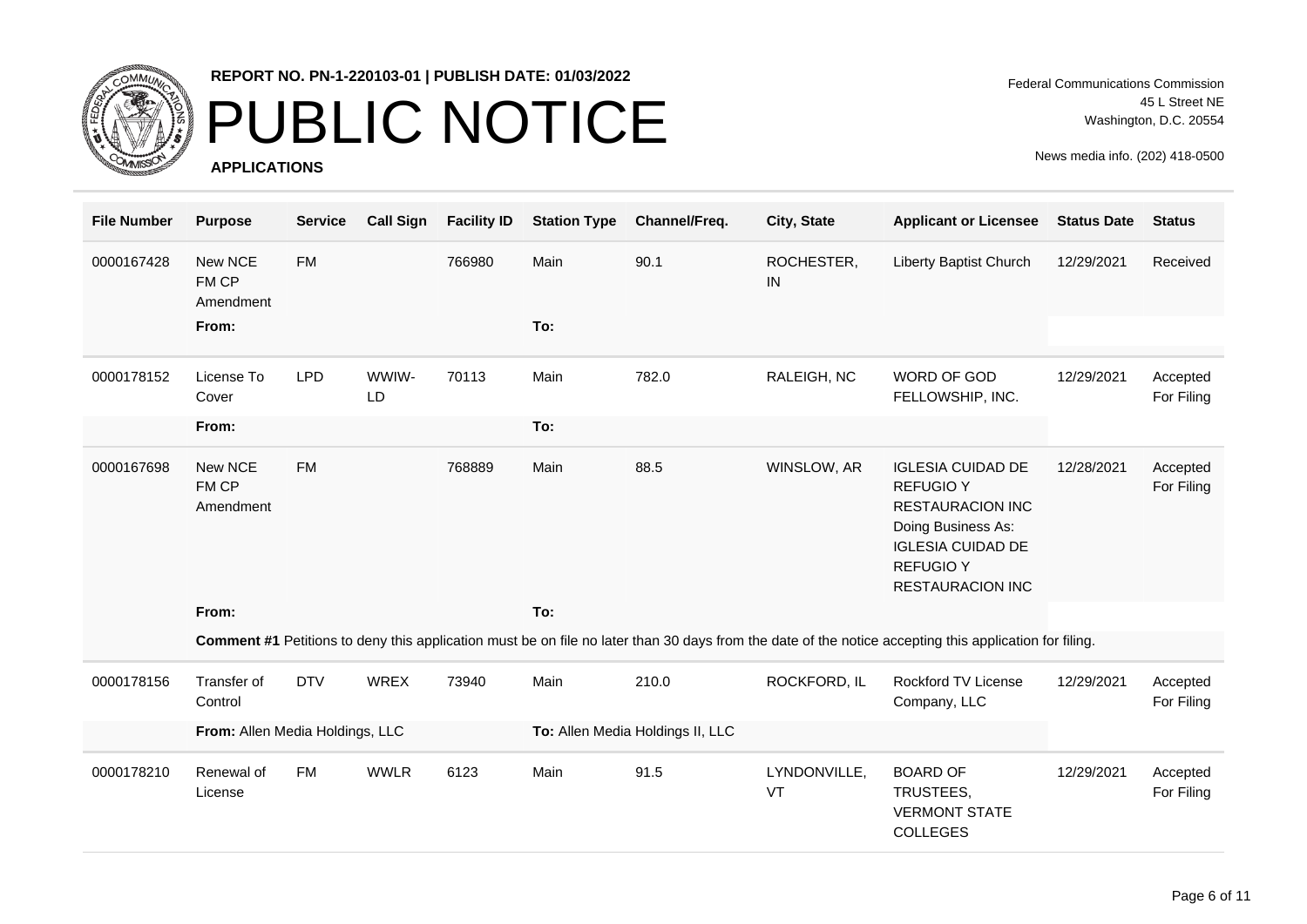

### PUBLIC NOTICE

**APPLICATIONS**

Federal Communications Commission 45 L Street NE Washington, D.C. 20554

| <b>File Number</b> | <b>Purpose</b>                  | <b>Service</b> | <b>Call Sign</b> | <b>Facility ID</b> | <b>Station Type</b> | Channel/Freq.                    | City, State        | <b>Applicant or Licensee</b>                                                                                                                                             | <b>Status Date</b> | <b>Status</b>          |
|--------------------|---------------------------------|----------------|------------------|--------------------|---------------------|----------------------------------|--------------------|--------------------------------------------------------------------------------------------------------------------------------------------------------------------------|--------------------|------------------------|
| 0000167428         | New NCE<br>FM CP<br>Amendment   | <b>FM</b>      |                  | 766980             | Main                | 90.1                             | ROCHESTER,<br>IN   | Liberty Baptist Church                                                                                                                                                   | 12/29/2021         | Received               |
|                    | From:                           |                |                  |                    | To:                 |                                  |                    |                                                                                                                                                                          |                    |                        |
| 0000178152         | License To<br>Cover             | <b>LPD</b>     | WWIW-<br>LD      | 70113              | Main                | 782.0                            | RALEIGH, NC        | WORD OF GOD<br>FELLOWSHIP, INC.                                                                                                                                          | 12/29/2021         | Accepted<br>For Filing |
|                    | From:                           |                |                  |                    | To:                 |                                  |                    |                                                                                                                                                                          |                    |                        |
| 0000167698         | New NCE<br>FM CP<br>Amendment   | <b>FM</b>      |                  | 768889             | Main                | 88.5                             | WINSLOW, AR        | <b>IGLESIA CUIDAD DE</b><br><b>REFUGIO Y</b><br><b>RESTAURACION INC</b><br>Doing Business As:<br><b>IGLESIA CUIDAD DE</b><br><b>REFUGIO Y</b><br><b>RESTAURACION INC</b> | 12/28/2021         | Accepted<br>For Filing |
|                    | From:                           |                |                  |                    | To:                 |                                  |                    |                                                                                                                                                                          |                    |                        |
|                    |                                 |                |                  |                    |                     |                                  |                    | Comment #1 Petitions to deny this application must be on file no later than 30 days from the date of the notice accepting this application for filing.                   |                    |                        |
| 0000178156         | Transfer of<br>Control          | <b>DTV</b>     | <b>WREX</b>      | 73940              | Main                | 210.0                            | ROCKFORD, IL       | <b>Rockford TV License</b><br>Company, LLC                                                                                                                               | 12/29/2021         | Accepted<br>For Filing |
|                    | From: Allen Media Holdings, LLC |                |                  |                    |                     | To: Allen Media Holdings II, LLC |                    |                                                                                                                                                                          |                    |                        |
| 0000178210         | Renewal of<br>License           | <b>FM</b>      | <b>WWLR</b>      | 6123               | Main                | 91.5                             | LYNDONVILLE,<br>VT | <b>BOARD OF</b><br>TRUSTEES,<br><b>VERMONT STATE</b><br><b>COLLEGES</b>                                                                                                  | 12/29/2021         | Accepted<br>For Filing |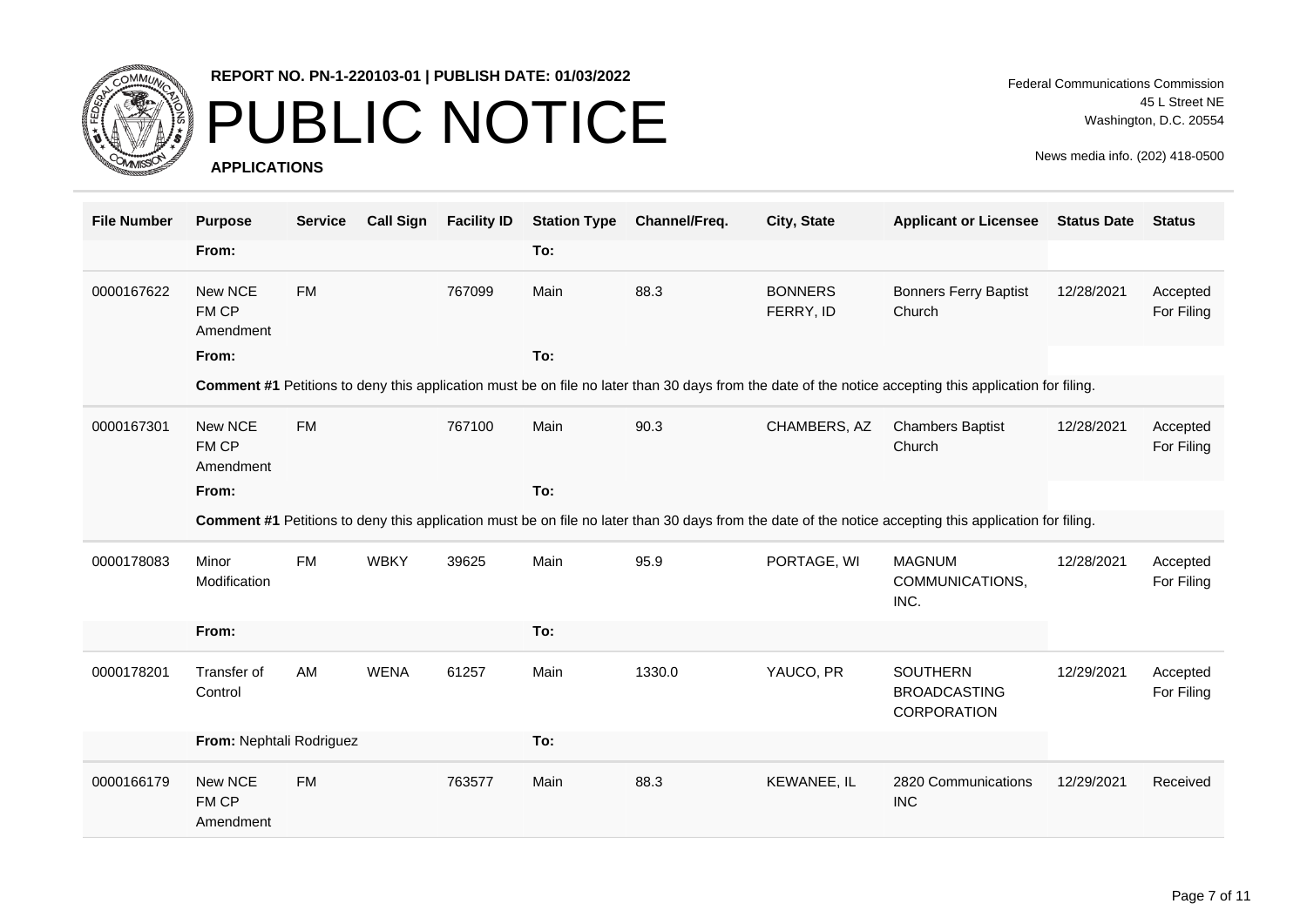

## PUBLIC NOTICE

**APPLICATIONS**

| <b>File Number</b> | <b>Purpose</b>                | <b>Service</b> | <b>Call Sign</b> | <b>Facility ID</b> | <b>Station Type</b> | Channel/Freq. | City, State                 | <b>Applicant or Licensee</b>                                                                                                                           | <b>Status Date</b> | <b>Status</b>          |
|--------------------|-------------------------------|----------------|------------------|--------------------|---------------------|---------------|-----------------------------|--------------------------------------------------------------------------------------------------------------------------------------------------------|--------------------|------------------------|
|                    | From:                         |                |                  |                    | To:                 |               |                             |                                                                                                                                                        |                    |                        |
| 0000167622         | New NCE<br>FM CP<br>Amendment | <b>FM</b>      |                  | 767099             | Main                | 88.3          | <b>BONNERS</b><br>FERRY, ID | <b>Bonners Ferry Baptist</b><br>Church                                                                                                                 | 12/28/2021         | Accepted<br>For Filing |
|                    | From:                         |                |                  |                    | To:                 |               |                             |                                                                                                                                                        |                    |                        |
|                    |                               |                |                  |                    |                     |               |                             | Comment #1 Petitions to deny this application must be on file no later than 30 days from the date of the notice accepting this application for filing. |                    |                        |
| 0000167301         | New NCE<br>FM CP<br>Amendment | <b>FM</b>      |                  | 767100             | Main                | 90.3          | CHAMBERS, AZ                | <b>Chambers Baptist</b><br>Church                                                                                                                      | 12/28/2021         | Accepted<br>For Filing |
|                    | From:                         |                |                  |                    | To:                 |               |                             |                                                                                                                                                        |                    |                        |
|                    |                               |                |                  |                    |                     |               |                             | Comment #1 Petitions to deny this application must be on file no later than 30 days from the date of the notice accepting this application for filing. |                    |                        |
| 0000178083         | Minor<br>Modification         | <b>FM</b>      | <b>WBKY</b>      | 39625              | Main                | 95.9          | PORTAGE, WI                 | <b>MAGNUM</b><br>COMMUNICATIONS,<br>INC.                                                                                                               | 12/28/2021         | Accepted<br>For Filing |
|                    | From:                         |                |                  |                    | To:                 |               |                             |                                                                                                                                                        |                    |                        |
| 0000178201         | Transfer of<br>Control        | AM             | <b>WENA</b>      | 61257              | Main                | 1330.0        | YAUCO, PR                   | <b>SOUTHERN</b><br><b>BROADCASTING</b><br>CORPORATION                                                                                                  | 12/29/2021         | Accepted<br>For Filing |
|                    | From: Nephtali Rodriguez      |                |                  |                    | To:                 |               |                             |                                                                                                                                                        |                    |                        |
| 0000166179         | New NCE<br>FM CP<br>Amendment | <b>FM</b>      |                  | 763577             | Main                | 88.3          | KEWANEE, IL                 | 2820 Communications<br><b>INC</b>                                                                                                                      | 12/29/2021         | Received               |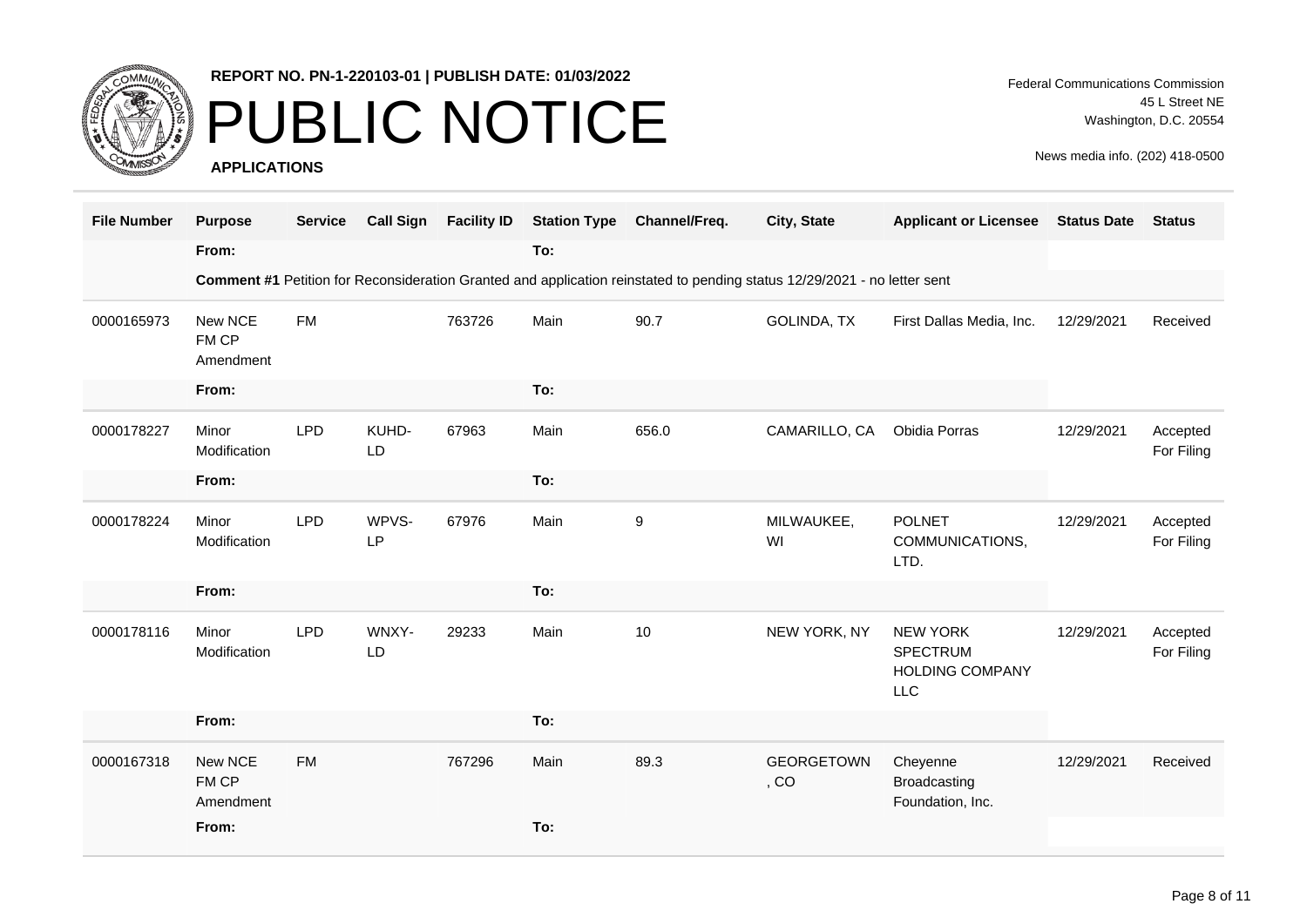

### PUBLIC NOTICE

**APPLICATIONS**

Federal Communications Commission 45 L Street NE Washington, D.C. 20554

| <b>File Number</b> | <b>Purpose</b><br>From:       | <b>Service</b> | <b>Call Sign</b> | <b>Facility ID</b> | <b>Station Type</b><br>To: | Channel/Freq.                                                                                                            | City, State               | <b>Applicant or Licensee</b>                                               | <b>Status Date</b> | <b>Status</b>          |
|--------------------|-------------------------------|----------------|------------------|--------------------|----------------------------|--------------------------------------------------------------------------------------------------------------------------|---------------------------|----------------------------------------------------------------------------|--------------------|------------------------|
|                    |                               |                |                  |                    |                            | Comment #1 Petition for Reconsideration Granted and application reinstated to pending status 12/29/2021 - no letter sent |                           |                                                                            |                    |                        |
| 0000165973         | New NCE<br>FM CP<br>Amendment | <b>FM</b>      |                  | 763726             | Main                       | 90.7                                                                                                                     | GOLINDA, TX               | First Dallas Media, Inc.                                                   | 12/29/2021         | Received               |
|                    | From:                         |                |                  |                    | To:                        |                                                                                                                          |                           |                                                                            |                    |                        |
| 0000178227         | Minor<br>Modification         | <b>LPD</b>     | KUHD-<br>LD      | 67963              | Main                       | 656.0                                                                                                                    | CAMARILLO, CA             | Obidia Porras                                                              | 12/29/2021         | Accepted<br>For Filing |
|                    | From:                         |                |                  |                    | To:                        |                                                                                                                          |                           |                                                                            |                    |                        |
| 0000178224         | Minor<br>Modification         | <b>LPD</b>     | WPVS-<br>LP      | 67976              | Main                       | 9                                                                                                                        | MILWAUKEE,<br>WI          | <b>POLNET</b><br>COMMUNICATIONS,<br>LTD.                                   | 12/29/2021         | Accepted<br>For Filing |
|                    | From:                         |                |                  |                    | To:                        |                                                                                                                          |                           |                                                                            |                    |                        |
| 0000178116         | Minor<br>Modification         | <b>LPD</b>     | WNXY-<br>LD      | 29233              | Main                       | 10                                                                                                                       | NEW YORK, NY              | <b>NEW YORK</b><br><b>SPECTRUM</b><br><b>HOLDING COMPANY</b><br><b>LLC</b> | 12/29/2021         | Accepted<br>For Filing |
|                    | From:                         |                |                  |                    | To:                        |                                                                                                                          |                           |                                                                            |                    |                        |
| 0000167318         | New NCE<br>FM CP<br>Amendment | <b>FM</b>      |                  | 767296             | Main                       | 89.3                                                                                                                     | <b>GEORGETOWN</b><br>, CO | Cheyenne<br>Broadcasting<br>Foundation, Inc.                               | 12/29/2021         | Received               |
|                    | From:                         |                |                  |                    | To:                        |                                                                                                                          |                           |                                                                            |                    |                        |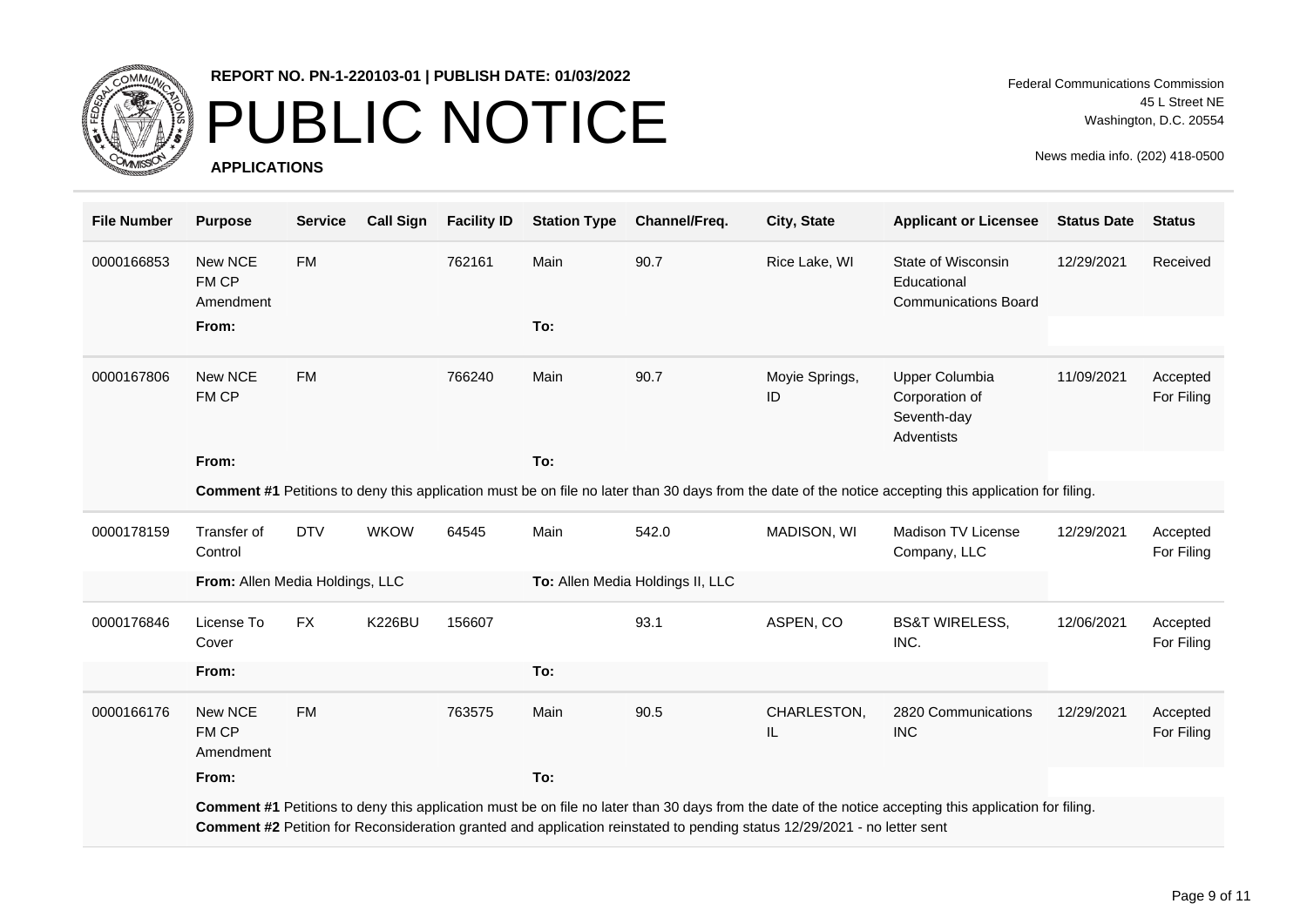

### PUBLIC NOTICE

**APPLICATIONS**

| <b>File Number</b> | <b>Purpose</b>                  | <b>Service</b> | <b>Call Sign</b> | <b>Facility ID</b> | <b>Station Type</b> | Channel/Freq.                                                                                                            | City, State                                                                                                                                            | <b>Applicant or Licensee</b>                                                                                                                           | <b>Status Date</b> | <b>Status</b>          |
|--------------------|---------------------------------|----------------|------------------|--------------------|---------------------|--------------------------------------------------------------------------------------------------------------------------|--------------------------------------------------------------------------------------------------------------------------------------------------------|--------------------------------------------------------------------------------------------------------------------------------------------------------|--------------------|------------------------|
| 0000166853         | New NCE<br>FM CP<br>Amendment   | <b>FM</b>      |                  | 762161             | Main                | 90.7                                                                                                                     | Rice Lake, WI                                                                                                                                          | State of Wisconsin<br>Educational<br><b>Communications Board</b>                                                                                       | 12/29/2021         | Received               |
|                    | From:                           |                |                  |                    | To:                 |                                                                                                                          |                                                                                                                                                        |                                                                                                                                                        |                    |                        |
| 0000167806         | New NCE<br>FM CP                | <b>FM</b>      |                  | 766240             | Main                | 90.7                                                                                                                     | Moyie Springs,<br>ID                                                                                                                                   | Upper Columbia<br>Corporation of<br>Seventh-day<br><b>Adventists</b>                                                                                   | 11/09/2021         | Accepted<br>For Filing |
|                    | From:                           |                |                  |                    | To:                 |                                                                                                                          |                                                                                                                                                        |                                                                                                                                                        |                    |                        |
|                    |                                 |                |                  |                    |                     |                                                                                                                          | Comment #1 Petitions to deny this application must be on file no later than 30 days from the date of the notice accepting this application for filing. |                                                                                                                                                        |                    |                        |
| 0000178159         | Transfer of<br>Control          | <b>DTV</b>     | <b>WKOW</b>      | 64545              | Main                | 542.0                                                                                                                    | MADISON, WI                                                                                                                                            | Madison TV License<br>Company, LLC                                                                                                                     | 12/29/2021         | Accepted<br>For Filing |
|                    | From: Allen Media Holdings, LLC |                |                  |                    |                     | To: Allen Media Holdings II, LLC                                                                                         |                                                                                                                                                        |                                                                                                                                                        |                    |                        |
| 0000176846         | License To<br>Cover             | <b>FX</b>      | <b>K226BU</b>    | 156607             |                     | 93.1                                                                                                                     | ASPEN, CO                                                                                                                                              | <b>BS&amp;T WIRELESS,</b><br>INC.                                                                                                                      | 12/06/2021         | Accepted<br>For Filing |
|                    | From:                           |                |                  |                    | To:                 |                                                                                                                          |                                                                                                                                                        |                                                                                                                                                        |                    |                        |
| 0000166176         | New NCE<br>FM CP<br>Amendment   | <b>FM</b>      |                  | 763575             | Main                | 90.5                                                                                                                     | CHARLESTON,<br>IL                                                                                                                                      | 2820 Communications<br><b>INC</b>                                                                                                                      | 12/29/2021         | Accepted<br>For Filing |
|                    | From:                           |                |                  |                    | To:                 |                                                                                                                          |                                                                                                                                                        |                                                                                                                                                        |                    |                        |
|                    |                                 |                |                  |                    |                     | Comment #2 Petition for Reconsideration granted and application reinstated to pending status 12/29/2021 - no letter sent |                                                                                                                                                        | Comment #1 Petitions to deny this application must be on file no later than 30 days from the date of the notice accepting this application for filing. |                    |                        |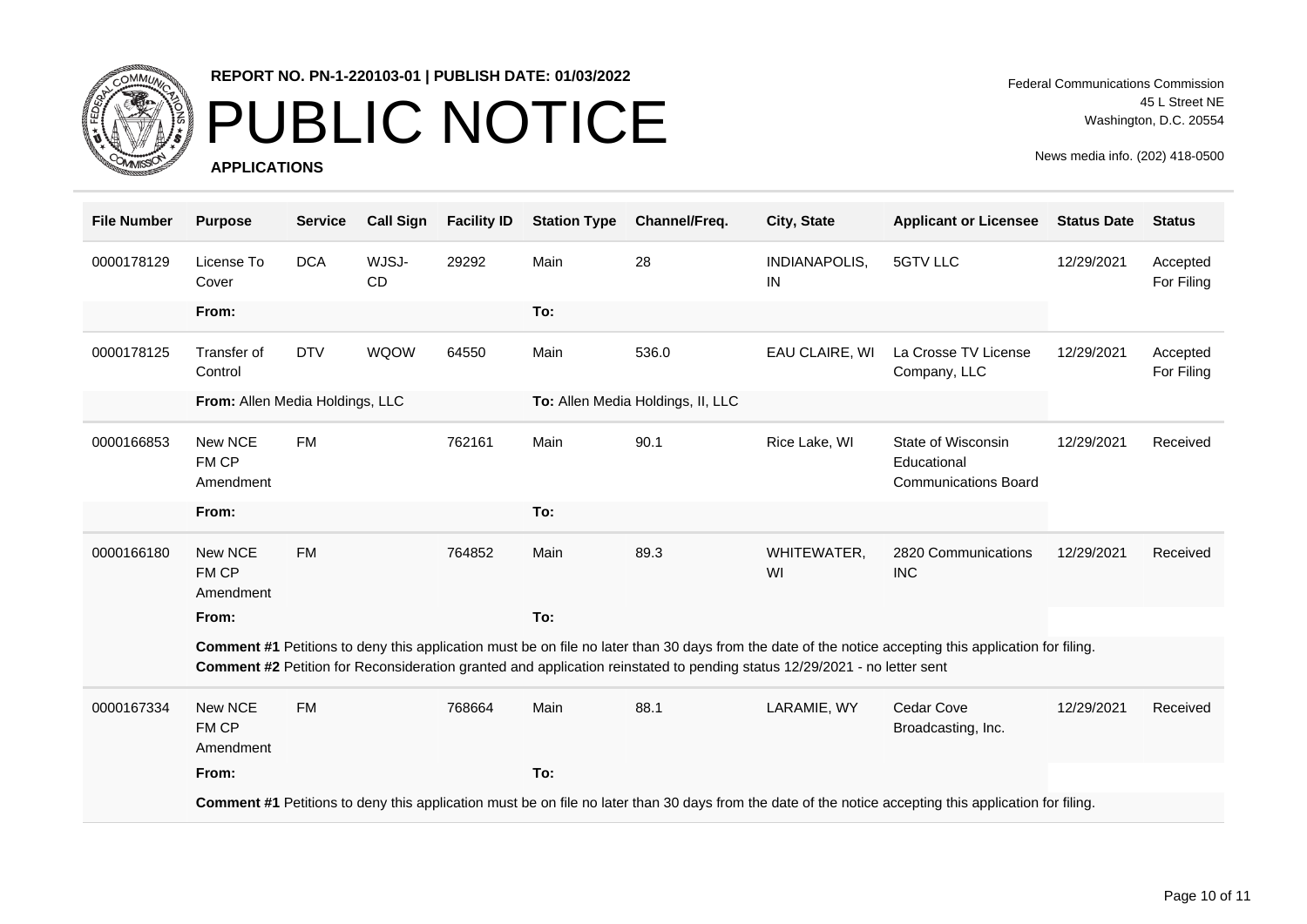

# PUBLIC NOTICE

**APPLICATIONS**

Federal Communications Commission 45 L Street NE Washington, D.C. 20554

| <b>File Number</b> | <b>Purpose</b>                  | <b>Service</b> | <b>Call Sign</b>   | <b>Facility ID</b> | <b>Station Type</b> | Channel/Freq.                                                                                                            | City, State         | <b>Applicant or Licensee</b>                                                                                                                           | <b>Status Date</b> | <b>Status</b>          |
|--------------------|---------------------------------|----------------|--------------------|--------------------|---------------------|--------------------------------------------------------------------------------------------------------------------------|---------------------|--------------------------------------------------------------------------------------------------------------------------------------------------------|--------------------|------------------------|
| 0000178129         | License To<br>Cover             | <b>DCA</b>     | WJSJ-<br><b>CD</b> | 29292              | Main                | 28                                                                                                                       | INDIANAPOLIS,<br>IN | 5GTV LLC                                                                                                                                               | 12/29/2021         | Accepted<br>For Filing |
|                    | From:                           |                |                    |                    | To:                 |                                                                                                                          |                     |                                                                                                                                                        |                    |                        |
| 0000178125         | Transfer of<br>Control          | <b>DTV</b>     | <b>WQOW</b>        | 64550              | Main                | 536.0                                                                                                                    | EAU CLAIRE, WI      | La Crosse TV License<br>Company, LLC                                                                                                                   | 12/29/2021         | Accepted<br>For Filing |
|                    | From: Allen Media Holdings, LLC |                |                    |                    |                     | To: Allen Media Holdings, II, LLC                                                                                        |                     |                                                                                                                                                        |                    |                        |
| 0000166853         | New NCE<br>FM CP<br>Amendment   | <b>FM</b>      |                    | 762161             | Main                | 90.1                                                                                                                     | Rice Lake, WI       | State of Wisconsin<br>Educational<br><b>Communications Board</b>                                                                                       | 12/29/2021         | Received               |
|                    | From:                           |                |                    |                    | To:                 |                                                                                                                          |                     |                                                                                                                                                        |                    |                        |
| 0000166180         | New NCE<br>FM CP<br>Amendment   | <b>FM</b>      |                    | 764852             | Main                | 89.3                                                                                                                     | WHITEWATER,<br>WI   | 2820 Communications<br><b>INC</b>                                                                                                                      | 12/29/2021         | Received               |
|                    | From:                           |                |                    |                    | To:                 |                                                                                                                          |                     |                                                                                                                                                        |                    |                        |
|                    |                                 |                |                    |                    |                     | Comment #2 Petition for Reconsideration granted and application reinstated to pending status 12/29/2021 - no letter sent |                     | Comment #1 Petitions to deny this application must be on file no later than 30 days from the date of the notice accepting this application for filing. |                    |                        |
| 0000167334         | New NCE<br>FM CP<br>Amendment   | <b>FM</b>      |                    | 768664             | Main                | 88.1                                                                                                                     | LARAMIE, WY         | <b>Cedar Cove</b><br>Broadcasting, Inc.                                                                                                                | 12/29/2021         | Received               |
|                    | From:                           |                |                    |                    | To:                 |                                                                                                                          |                     |                                                                                                                                                        |                    |                        |
|                    |                                 |                |                    |                    |                     |                                                                                                                          |                     | Comment #1 Petitions to deny this application must be on file no later than 30 days from the date of the notice accepting this application for filing. |                    |                        |